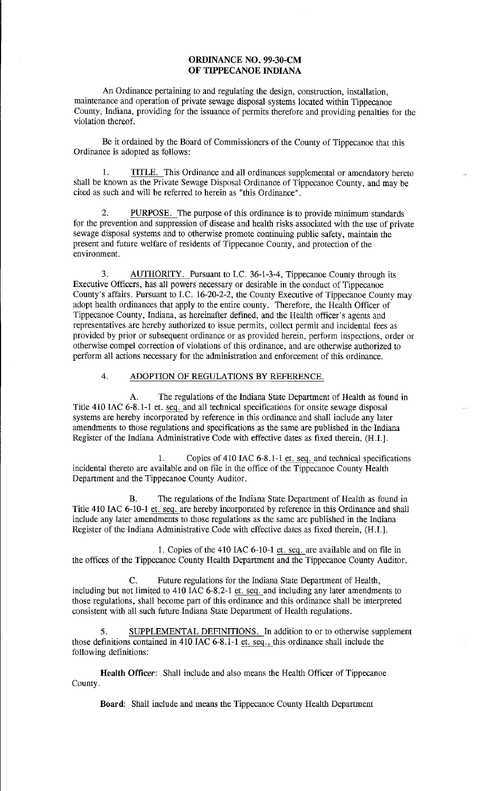### **ORDINANCE** NO. 99-30-CM **OF TIPPECANOE INDIANA**

An Ordinance pertaining to and regulating the design, construction, installation, maintenance and operation of private sewage disposal systems located within Tippecanoe County, Indiana, providing for the issuance of permits therefore and providing penalties for the violation thereof.

Be it ordained by the Board of Commissioners of the County of Tippecanoe that this Ordinance is adopted as follows:

1. TITLE. This Ordinance and all ordinances supplemental or amendatory hereto shall be known as the Private Sewage Disposal Ordinance of Tippecanoe County, and may be cited as such and will be referred to herein as "this Ordinance".

2. PURPOSE. The purpose of this ordinance is to provide minimum standards for the prevention and suppression of disease and health risks associated with the use of private sewage disposal systems and to otherwise promote continuing public safety, maintain the present and future welfare of residents of Tippecanoe County, and protection of the environment.

3. AUTHORITY. Pursuant to I.C. 36-1-3-4, Tippecanoe County through its Executive Officers, has all powers necessary or desirable in the conduct of Tippecanoe County's affairs. Pursuant to LC. 16-20-2-2, the County Executive of Tippecanoe County may adopt health ordinances that apply to the entire county. Therefore, the Health Officer of Tippecanoe County, Indiana, as hereinafter defined, and the Health officer's agents and representatives are hereby authorized to issue permits, collect permit and incidental fees as provided by prior or subsequent ordinance or as provided herein, perform inspections, order or otherwise compel correction of violations of this ordinance, and are otherwise authorized to perform all actions necessary for the administration and enforcement of this ordinance.

## 4. ADOPTION OF REGULATIONS BY REFERENCE.

A. The regulations of the Indiana State Department of Health as found in Title 410 IAC 6-8.1-1 et. seq. and all technical specifications for onsite sewage disposal systems are hereby incorporated by reference in this ordinance and shall include any later amendments to those regulations and specifications as the same are published in the Indiana Register of the Indiana Administrative Code with effective dates as fixed therein, (H.I.].

1. Copies of 410 IAC 6-8.1-1 et. seq. and technical specifications incidental thereto are available and on file in the office of the Tippecanoe County Health Department and the Tippecanoe County Auditor.

B. The regulations of the Indiana State Department of Health as found in Title 410 IAC 6-10-1 et. seq. are hereby incorporated by reference in this Ordinance and shall include any later amendments to those regulations as the same are published in the Indiana Register of the Indiana Administrative Code with effective dates as fixed therein, (H.I.].

1. Copies of the 410 IAC 6-10-1 et. seq. are available and on file in the offices of the Tippecanoe County Health Department and the Tippecanoe County Auditor.

C. Future regulations for the Indiana State Department of Health, including but not limited to 410 IAC 6-8.2-1 et. seq. and including any later amendments to those regulations, shall become part of this ordinance and this ordinance shall be interpreted consistent with all such future Indiana State Department of Health regulations.

SUPPLEMENTAL DEFINITIONS. In addition to or to otherwise supplement those definitions contained in 410 IAC 6-8.1-1 et. seq., this ordinance shall include the following definitions:

**Health Officer:** Shall include and also means the Health Officer of Tippecanoe County.

**Board:** Shall include and means the Tippecanoe County Health Department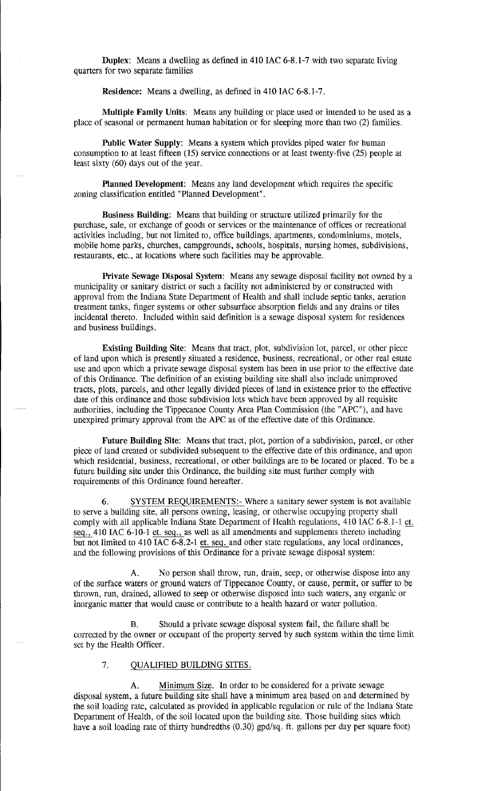Duplex: Means a dwelling as defined in 410 IAC 6-8.1-7 with two separate living quarters for two separate families

Residence: Means a dwelling, as defined in 410 IAC 6-8.1-7.

Multiple Family Units: Means any building or place used or intended to be used as a place of seasonal or permanent human habitation or for sleeping more than two (2) families.

Public Water Supply: Means a system which provides piped water for human consumption to at least fifteen (15) service connections or at least twenty-five (25) people at least sixty (60) days out of the year.

Planned Development: Means any land development which requires the specific zoning classification entitled "Planned Development".

Business Building: Means that building or structure utilized primarily for the purchase, sale, or exchange of goods or services or the maintenance of offices or recreational activities including, but not limited to, office buildings, apartments, condominiums, motels, mobile home parks, churches, campgrounds, schools, hospitals, nursing homes, subdivisions, restaurants, etc., at locations where such facilities may be approvable.

Private Sewage Disposal System: Means any sewage disposal facility not owned by a municipality or sanitary district or such a facility not administered by or constructed with approval from the Indiana State Department of Health and shall include septic tanks, aeration treatment tanks, finger systems or other subsurface absorption fields and any drains or tiles incidental thereto. Included within said definition is a sewage disposal system for residences and business buildings.

Existing Building Site: Means that tract, plot, subdivision lot, parcel, or other piece of land upon which is presently situated a residence, business, recreational, or other real estate use and upon which a private sewage disposal system has been in use prior to the effective date of this Ordinance. The definition of an existing building site shall also include unimproved tracts, plots, parcels, and other legally divided pieces of land in existence prior to the effective date of this ordinance and those subdivision lots which have been approved by all requisite authorities, including the Tippecanoe County Area Plan Commission (the "APC"), and have unexpired primary approval from the APC as of the effective date of this Ordinance.

Future Building Site: Means that tract, plot, portion of a subdivision, parcel, or other piece of land created or subdivided subsequent to the effective date of this ordinance, and upon which residential, business, recreational, or other buildings are to be located or placed. To be a future building site under this Ordinance, the building site must further comply with requirements of this Ordinance found hereafter.

6. SYSTEM REQUIREMENTS:- Where a sanitary sewer system is not available to serve a building site, all persons owning, leasing, or otherwise occupying property shall comply with all applicable Indiana State Department of Health regulations, 410 IAC 6-8.1-1 et. seq., 410 IAC 6-10-1 et. seq., as well as all amendments and supplements thereto including but not limited to 410 IAC 6-8.2-1 et. seq. and other state regulations, any local ordinances, and the following provisions of this Ordinance for a private sewage disposal system:

A. No person shall throw, run, drain, seep, or otherwise dispose into any of the surface waters or ground waters of Tippecanoe County, or cause, permit, or suffer to be thrown, run, drained, allowed to seep or otherwise disposed into such waters, any organic or inorganic matter that would cause or contribute to a health hazard or water pollution.

B. Should a private sewage disposal system fail, the failure shall be corrected by the owner or occupant of the property served by such system within the time limit set by the Health Officer.

### 7. QUALIFIED BUILDING SITES.

A. Minimum Size. In order to be considered for a private sewage disposal system, a future building site shall have a minimum area based on and determined by the soil loading rate, calculated as provided in applicable regulation or rule of the Indiana State Department of Health, of the soil located upon the building site. Those building sites which have a soil loading rate of thirty hundredths (0.30) gpd/sq. ft. gallons per day per square foot)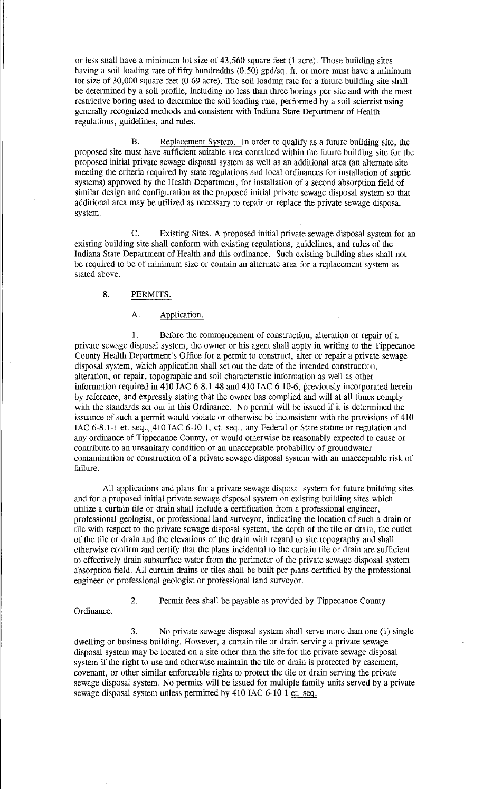or less shall have a minimum lot size of 43,560 square feet (l acre). Those building sites having a soil loading rate of fifty hundredths (0.50) gpd/sq. ft. or more must have a minimum lot size of 30,000 square feet (0.69 acre). The soil loading rate for a future building site shall be determined by a soil profile, including no less than three borings per site and with the most restrictive boring used to determine the soil loading rate, performed by a soil scientist using generally recognized methods and consistent with Indiana State Department of Health regulations, guidelines, and rules.

B. Replacement System. In order to qualify as a future building site, the proposed site must have sufficient suitable area contained within the future building site for the proposed initial private sewage disposal system as well as an additional area (an alternate site meeting the criteria required by state regulations and local ordinances for installation of septic systems) approved by the Health Department, for installation of a second absorption field of similar design and configuration as the proposed initial private sewage disposal system so that additional area may be utilized as necessary to repair or replace the private sewage disposal system.

C. Existing Sites. A proposed initial private sewage disposal system for an existing building site shall conform with existing regulations, guidelines, and rules of the Indiana State Department of Health and this ordinance. Such existing building sites shall not be required to be of minimum size or contain an alternate area for a replacement system as stated above.

# 8. PERMITS.

# A. Application.

1. Before the commencement of construction, alteration or repair of a private sewage disposal system, the owner or his agent shall apply in writing to the Tippecanoe County Health Department's Office for a permit to construct, alter or repair a private sewage disposal system, which application shall set out the date of the intended construction, alteration, or repair, topographic and soil characteristic information as well as other information required in 410 IAC 6-8.1-48 and 410 IAC 6-10-6, previously incorporated herein by reference, and expressly stating that the owner has complied and will at all times comply with the standards set out in this Ordinance. No permit will be issued if it is determined the issuance of such a permit would violate or otherwise be inconsistent with the provisions of 410 IAC 6-8.1-1 et. seq., 410 IAC 6-10-1, et. seq., any Federal or State statute or regulation and any ordinance of Tippecanoe County, or would otherwise be reasonably expected to cause or contribute to an unsanitary condition or an unacceptable probability of groundwater contamination or construction of a private sewage disposal system with an unacceptable risk of failure.

All applications and plans for a private sewage disposal system for future building sites and for a proposed initial private sewage disposal system on existing building sites which utilize a curtain tile or drain shall include a certification from a professional engineer, professional geologist, or professional land surveyor, indicating the location of such a drain or tile with respect to the private sewage disposal system, the depth of the tile or drain, the outlet of the tile or drain and the elevations of the drain with regard to site topography and shall otherwise confirm and certify that the plans incidental to the curtain tile or drain are sufficient to effectively drain subsurface water from the perimeter of the private sewage disposal system absorption field. All curtain drains or tiles shall be built per plans certified by the professional engineer or professional geologist or professional land surveyor.

Ordinance.

# 2. Permit fees shall be payable as provided by Tippecanoe County

3. No private sewage disposal system shall serve more than one (1) single dwelling or business building. However, a curtain tile or drain serving a private sewage disposal system may be located on a site other than the site for the private sewage disposal system if the right to use and otherwise maintain the tile or drain is protected by easement, covenant, or other similar enforceable rights to protect the tile or drain serving the private sewage disposal system. No permits will be issued for multiple family units served by a private sewage disposal system unless permitted by 410 IAC 6-10-1 et. seq.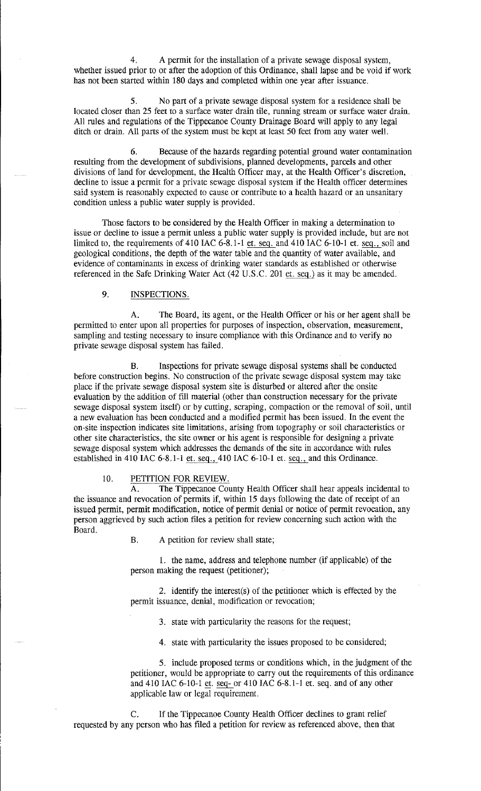4. A permit for the installation of a private sewage disposal system, whether issued prior to or after the adoption of this Ordinance, shall lapse and be void if work has not been started within 180 days and completed within one year after issuance.

S. No part of a private sewage disposal system for a residence shall be located closer than 25 feet to a surface water drain tile, running stream or surface water drain. All rules and regulations of the Tippecanoe County Drainage Board will apply to any legal ditch or drain. All parts of the system must be kept at least SO feet from any water well.

6. Because of the hazards regarding potential ground water contamination resulting from the development of subdivisions, planned developments, parcels and other divisions of land for development, the Health Officer may, at the Health Officer's discretion, decline to issue a permit for a private sewage disposal system if the Health officer determines said system is reasonably expected to cause or contribute to a health hazard or an unsanitary condition unless a public water supply is provided.

Those factors to be considered by the Health Officer in making a determination to issue or decline to issue a permit unless a public water supply is provided include, but are not limited to, the requirements of 410 IAC  $6-8.1-1$  et. seq. and 410 IAC  $6-10-1$  et. seq., soil and geological conditions, the depth of the water table and the quantity of water available, and evidence of contaminants in excess of drinking water standards as established or otherwise referenced in the Safe Drinking Water Act  $(42 \text{ U.S.C. } 201 \text{ et. } seq.)$  as it may be amended.

## 9. INSPECTIONS.

A. The Board, its agent, or the Health Officer or his or her agent shall be permitted to enter upon all properties for purposes of inspection, observation, measurement, sampling and testing necessary to insure compliance with this Ordinance and to verify no private sewage disposal system has failed.

B. Inspections for private sewage disposal systems shall be conducted before construction begins. No construction of the private sewage disposal system may take place if the private sewage disposal system site is disturbed or altered after the onsite evaluation by the addition of fill material (other than construction necessary for the private sewage disposal system itself) or by cutting, scraping, compaction or the removal of soil, until a new evaluation has been conducted and a modified permit has been issued. In the event the on-site inspection indicates site limitations, arising from topography or soil characteristics or other site characteristics, the site owner or his agent is responsible for designing a private sewage disposal system which addresses the demands of the site in accordance with rules established in 410 IAC 6-8.1-1 et. seq., 410 IAC 6-10-1 et. seq., and this Ordinance.

### 10. PETITION FOR REVIEW.

A. The Tippecanoe County Health Officer shall hear appeals incidental to the issuance and revocation of permits if, within 15 days following the date of receipt of an issued permit, permit modification, notice of permit denial or notice of permit revocation, any person aggrieved by such action files a petition for review concerning such action with the Board.

B. A petition for review shall state;

1. the name, address and telephone number (if applicable) of the person making the request (petitioner);

2. identify the interest(s) of the petitioner which is effected by the permit issuance, denial, modification or revocation;

3. state with particularity the reasons for the request;

4. state with particularity the issues proposed to be considered;

S. include proposed terms or conditions which, in the judgment of the petitioner, would be appropriate to carry out the requirements of this ordinance and 410 IAC 6-10-1 et. seq- or 410 IAC 6-8.1-1 et. seq. and of any other applicable law or legal requirement.

C. If the Tippecanoe County Health Officer declines to grant relief requested by any person who has filed a petition for review as referenced above, then that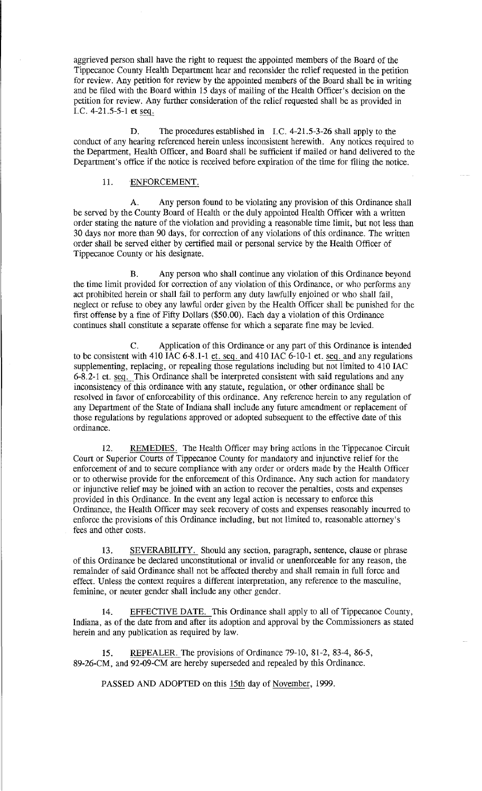aggrieved person shall have the right to request the appointed members of the Board of the Tippecanoe County Health Department hear and reconsider the relief requested in the petition for review. Any petition for review by the appointed members of the Board shall be in writing and be filed with the Board within 15 days of mailing of the Health Officer's decision on the petition for review. Any further consideration of the relief requested shall be as provided in I.C.  $4-21.5-5-1$  et seq.

D. The procedures established in I.C. 4-21.5-3-26 shall apply to the conduct of any hearing referenced herein unless inconsistent herewith. Any notices required to the Department, Health Officer, and Board shall be sufficient if mailed or hand delivered to the Department's office if the notice is received before expiration of the time for filing the notice.

### 11. ENFORCEMENT.

A. Any person found to be violating any provision of this Ordinance shall be served by the County Board of Health or the duly appointed Health Officer with a written order stating the nature of the violation and providing a reasonable time limit, but not less than 30 days nor more than 90 days, for correction of any violations of this ordinance. The written order shall be served either by certified mail or personal service by the Health Officer of Tippecanoe County or his designate.

B. Any person who shall continue any violation of this Ordinance beyond the time limit provided for correction of any violation of this Ordinance, or who performs any act prohibited herein or shall fail to perform any duty lawfully enjoined or who shall fail, neglect or refuse to obey any lawful order given by the Health Officer shall be punished for the first offense by a fine of Fifty Dollars (\$50.00). Each day a violation of this Ordinance continues shall constitute a separate offense for which a separate fine may be levied.

C. Application of this Ordinance or any part of this Ordinance is intended to be consistent with 410 IAC  $6-8.1-1$  et. seq. and 410 IAC  $6-10-1$  et. seq. and any regulations supplementing, replacing, or repealing those regulations including but not limited to 410 IAC 6-8.2-1 et. seq. This Ordinance shall be interpreted consistent with said regulations and any inconsistency of this ordinance with any statute, regulation, or other ordinance shall be resolved in favor of enforceability of this ordinance. Any reference herein to any regulation of any Department of the State of Indiana shall include any future amendment or replacement of those regulations by regulations approved or adopted subsequent to the effective date of this ordinance.

12. REMEDIES. The Health Officer may bring actions in the Tippecanoe Circuit Court or Superior Courts of Tippecanoe County for mandatory and injunctive relief for the enforcement of and to secure compliance with any order or orders made by the Health Officer or to otherwise provide for the enforcement of this Ordinance. Any such action for mandatory or injunctive relief may be joined with an action to recover the penalties, costs and expenses provided in this Ordinance. In the event any legal action is necessary to enforce this Ordinance, the Health Officer may seek recovery of costs and expenses reasonably incurred to enforce the provisions of this Ordinance including, but not limited to, reasonable attorney's fees and other costs.

13. SEVERABILITY. Should any section, paragraph, sentence, clause or phrase of this Ordinance be declared unconstitutional or invalid or unenforceable for any reason, the remainder of said Ordinance shall not be affected thereby and shall remain in full force and effect. Unless the context requires a different interpretation, any reference to the masculine, feminine, or neuter gender shall include any other gender.

14. EFFECTIVE DATE. This Ordinance shall apply to all of Tippecanoe County, Indiana, as of the date from and after its adoption and approval by the Commissioners as stated herein and any publication as required by law.

15. REPEALER. The provisions of Ordinance 79-10, 81-2, 83-4, 86-5, 89-26-CM, and 92-09-CM are hereby superseded and repealed by this Ordinance.

PASSED AND ADOPTED on this 15th day of November, 1999.